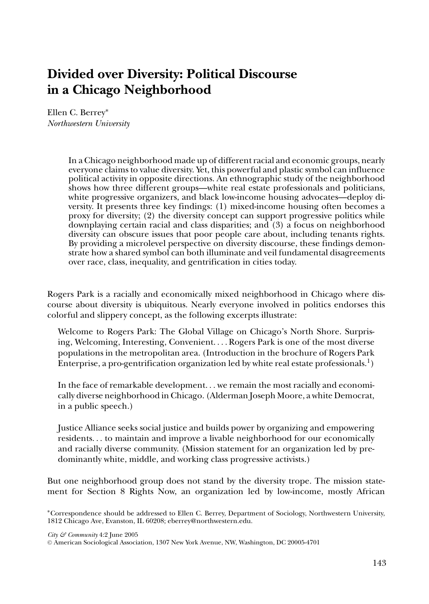# **Divided over Diversity: Political Discourse in a Chicago Neighborhood**

Ellen C. Berrey<sup>∗</sup> *Northwestern University*

> In a Chicago neighborhood made up of different racial and economic groups, nearly everyone claims to value diversity. Yet, this powerful and plastic symbol can influence political activity in opposite directions. An ethnographic study of the neighborhood shows how three different groups—white real estate professionals and politicians, white progressive organizers, and black low-income housing advocates—deploy diversity. It presents three key findings: (1) mixed-income housing often becomes a proxy for diversity; (2) the diversity concept can support progressive politics while downplaying certain racial and class disparities; and (3) a focus on neighborhood diversity can obscure issues that poor people care about, including tenants rights. By providing a microlevel perspective on diversity discourse, these findings demonstrate how a shared symbol can both illuminate and veil fundamental disagreements over race, class, inequality, and gentrification in cities today.

Rogers Park is a racially and economically mixed neighborhood in Chicago where discourse about diversity is ubiquitous. Nearly everyone involved in politics endorses this colorful and slippery concept, as the following excerpts illustrate:

Welcome to Rogers Park: The Global Village on Chicago's North Shore. Surprising, Welcoming, Interesting, Convenient. ... Rogers Park is one of the most diverse populations in the metropolitan area. (Introduction in the brochure of Rogers Park Enterprise, a pro-gentrification organization led by white real estate professionals.<sup>1</sup>)

In the face of remarkable development... we remain the most racially and economically diverse neighborhood in Chicago. (Alderman Joseph Moore, a white Democrat, in a public speech.)

Justice Alliance seeks social justice and builds power by organizing and empowering residents... to maintain and improve a livable neighborhood for our economically and racially diverse community. (Mission statement for an organization led by predominantly white, middle, and working class progressive activists.)

But one neighborhood group does not stand by the diversity trope. The mission statement for Section 8 Rights Now, an organization led by low-income, mostly African

<sup>∗</sup>Correspondence should be addressed to Ellen C. Berrey, Department of Sociology, Northwestern University, 1812 Chicago Ave, Evanston, IL 60208; eberrey@northwestern.edu.

*City & Community* 4:2 June 2005

<sup>-</sup><sup>C</sup> American Sociological Association, 1307 New York Avenue, NW, Washington, DC 20005-4701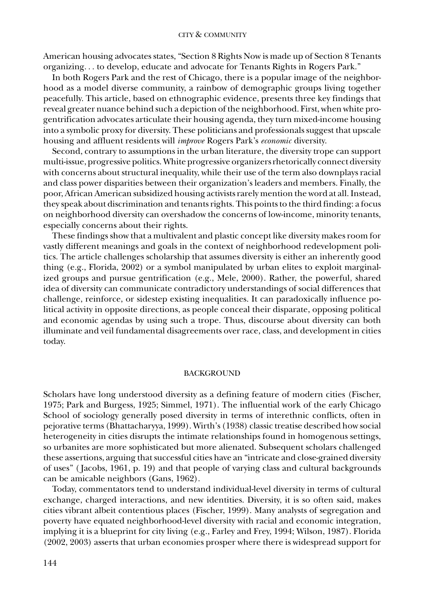American housing advocates states, "Section 8 Rights Now is made up of Section 8 Tenants organizing... to develop, educate and advocate for Tenants Rights in Rogers Park."

In both Rogers Park and the rest of Chicago, there is a popular image of the neighborhood as a model diverse community, a rainbow of demographic groups living together peacefully. This article, based on ethnographic evidence, presents three key findings that reveal greater nuance behind such a depiction of the neighborhood. First, when white progentrification advocates articulate their housing agenda, they turn mixed-income housing into a symbolic proxy for diversity. These politicians and professionals suggest that upscale housing and affluent residents will *improve* Rogers Park's *economic* diversity.

Second, contrary to assumptions in the urban literature, the diversity trope can support multi-issue, progressive politics. White progressive organizers rhetorically connect diversity with concerns about structural inequality, while their use of the term also downplays racial and class power disparities between their organization's leaders and members. Finally, the poor, African American subsidized housing activists rarely mention the word at all. Instead, they speak about discrimination and tenants rights. This points to the third finding: a focus on neighborhood diversity can overshadow the concerns of low-income, minority tenants, especially concerns about their rights.

These findings show that a multivalent and plastic concept like diversity makes room for vastly different meanings and goals in the context of neighborhood redevelopment politics. The article challenges scholarship that assumes diversity is either an inherently good thing (e.g., Florida, 2002) or a symbol manipulated by urban elites to exploit marginalized groups and pursue gentrification (e.g., Mele, 2000). Rather, the powerful, shared idea of diversity can communicate contradictory understandings of social differences that challenge, reinforce, or sidestep existing inequalities. It can paradoxically influence political activity in opposite directions, as people conceal their disparate, opposing political and economic agendas by using such a trope. Thus, discourse about diversity can both illuminate and veil fundamental disagreements over race, class, and development in cities today.

## BACKGROUND

Scholars have long understood diversity as a defining feature of modern cities (Fischer, 1975; Park and Burgess, 1925; Simmel, 1971). The influential work of the early Chicago School of sociology generally posed diversity in terms of interethnic conflicts, often in pejorative terms (Bhattacharyya, 1999). Wirth's (1938) classic treatise described how social heterogeneity in cities disrupts the intimate relationships found in homogenous settings, so urbanites are more sophisticated but more alienated. Subsequent scholars challenged these assertions, arguing that successful cities have an "intricate and close-grained diversity of uses" ( Jacobs, 1961, p. 19) and that people of varying class and cultural backgrounds can be amicable neighbors (Gans, 1962).

Today, commentators tend to understand individual-level diversity in terms of cultural exchange, charged interactions, and new identities. Diversity, it is so often said, makes cities vibrant albeit contentious places (Fischer, 1999). Many analysts of segregation and poverty have equated neighborhood-level diversity with racial and economic integration, implying it is a blueprint for city living (e.g., Farley and Frey, 1994; Wilson, 1987). Florida (2002, 2003) asserts that urban economies prosper where there is widespread support for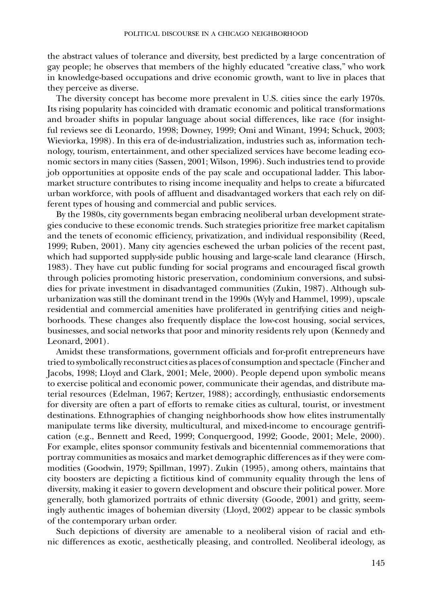the abstract values of tolerance and diversity, best predicted by a large concentration of gay people; he observes that members of the highly educated "creative class," who work in knowledge-based occupations and drive economic growth, want to live in places that they perceive as diverse.

The diversity concept has become more prevalent in U.S. cities since the early 1970s. Its rising popularity has coincided with dramatic economic and political transformations and broader shifts in popular language about social differences, like race (for insightful reviews see di Leonardo, 1998; Downey, 1999; Omi and Winant, 1994; Schuck, 2003; Wieviorka, 1998). In this era of de-industrialization, industries such as, information technology, tourism, entertainment, and other specialized services have become leading economic sectors in many cities (Sassen, 2001; Wilson, 1996). Such industries tend to provide job opportunities at opposite ends of the pay scale and occupational ladder. This labormarket structure contributes to rising income inequality and helps to create a bifurcated urban workforce, with pools of affluent and disadvantaged workers that each rely on different types of housing and commercial and public services.

By the 1980s, city governments began embracing neoliberal urban development strategies conducive to these economic trends. Such strategies prioritize free market capitalism and the tenets of economic efficiency, privatization, and individual responsibility (Reed, 1999; Ruben, 2001). Many city agencies eschewed the urban policies of the recent past, which had supported supply-side public housing and large-scale land clearance (Hirsch, 1983). They have cut public funding for social programs and encouraged fiscal growth through policies promoting historic preservation, condominium conversions, and subsidies for private investment in disadvantaged communities (Zukin, 1987). Although suburbanization was still the dominant trend in the 1990s (Wyly and Hammel, 1999), upscale residential and commercial amenities have proliferated in gentrifying cities and neighborhoods. These changes also frequently displace the low-cost housing, social services, businesses, and social networks that poor and minority residents rely upon (Kennedy and Leonard, 2001).

Amidst these transformations, government officials and for-profit entrepreneurs have tried to symbolically reconstruct cities as places of consumption and spectacle (Fincher and Jacobs, 1998; Lloyd and Clark, 2001; Mele, 2000). People depend upon symbolic means to exercise political and economic power, communicate their agendas, and distribute material resources (Edelman, 1967; Kertzer, 1988); accordingly, enthusiastic endorsements for diversity are often a part of efforts to remake cities as cultural, tourist, or investment destinations. Ethnographies of changing neighborhoods show how elites instrumentally manipulate terms like diversity, multicultural, and mixed-income to encourage gentrification (e.g., Bennett and Reed, 1999; Conquergood, 1992; Goode, 2001; Mele, 2000). For example, elites sponsor community festivals and bicentennial commemorations that portray communities as mosaics and market demographic differences as if they were commodities (Goodwin, 1979; Spillman, 1997). Zukin (1995), among others, maintains that city boosters are depicting a fictitious kind of community equality through the lens of diversity, making it easier to govern development and obscure their political power. More generally, both glamorized portraits of ethnic diversity (Goode, 2001) and gritty, seemingly authentic images of bohemian diversity (Lloyd, 2002) appear to be classic symbols of the contemporary urban order.

Such depictions of diversity are amenable to a neoliberal vision of racial and ethnic differences as exotic, aesthetically pleasing, and controlled. Neoliberal ideology, as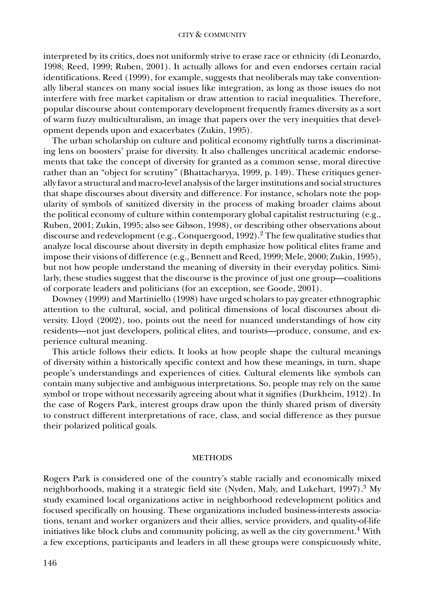interpreted by its critics, does not uniformly strive to erase race or ethnicity (di Leonardo, 1998; Reed, 1999; Ruben, 2001). It actually allows for and even endorses certain racial identifications. Reed (1999), for example, suggests that neoliberals may take conventionally liberal stances on many social issues like integration, as long as those issues do not interfere with free market capitalism or draw attention to racial inequalities. Therefore, popular discourse about contemporary development frequently frames diversity as a sort of warm fuzzy multiculturalism, an image that papers over the very inequities that development depends upon and exacerbates (Zukin, 1995).

The urban scholarship on culture and political economy rightfully turns a discriminating lens on boosters' praise for diversity. It also challenges uncritical academic endorsements that take the concept of diversity for granted as a common sense, moral directive rather than an "object for scrutiny" (Bhattacharyya, 1999, p. 149). These critiques generally favor a structural and macro-level analysis of the larger institutions and social structures that shape discourses about diversity and difference. For instance, scholars note the popularity of symbols of sanitized diversity in the process of making broader claims about the political economy of culture within contemporary global capitalist restructuring (e.g., Ruben, 2001; Zukin, 1995; also see Gibson, 1998), or describing other observations about discourse and redevelopment (e.g., Conquergood, 1992).<sup>2</sup> The few qualitative studies that analyze local discourse about diversity in depth emphasize how political elites frame and impose their visions of difference (e.g., Bennett and Reed, 1999; Mele, 2000; Zukin, 1995), but not how people understand the meaning of diversity in their everyday politics. Similarly, these studies suggest that the discourse is the province of just one group—coalitions of corporate leaders and politicians (for an exception, see Goode, 2001).

Downey (1999) and Martiniello (1998) have urged scholars to pay greater ethnographic attention to the cultural, social, and political dimensions of local discourses about diversity. Lloyd (2002), too, points out the need for nuanced understandings of how city residents—not just developers, political elites, and tourists—produce, consume, and experience cultural meaning.

This article follows their edicts. It looks at how people shape the cultural meanings of diversity within a historically specific context and how these meanings, in turn, shape people's understandings and experiences of cities. Cultural elements like symbols can contain many subjective and ambiguous interpretations. So, people may rely on the same symbol or trope without necessarily agreeing about what it signifies (Durkheim, 1912). In the case of Rogers Park, interest groups draw upon the thinly shared prism of diversity to construct different interpretations of race, class, and social difference as they pursue their polarized political goals.

# METHODS

Rogers Park is considered one of the country's stable racially and economically mixed neighborhoods, making it a strategic field site (Nyden, Maly, and Lukehart, 1997).<sup>3</sup> My study examined local organizations active in neighborhood redevelopment politics and focused specifically on housing. These organizations included business-interests associations, tenant and worker organizers and their allies, service providers, and quality-of-life initiatives like block clubs and community policing, as well as the city government. $4$  With a few exceptions, participants and leaders in all these groups were conspicuously white,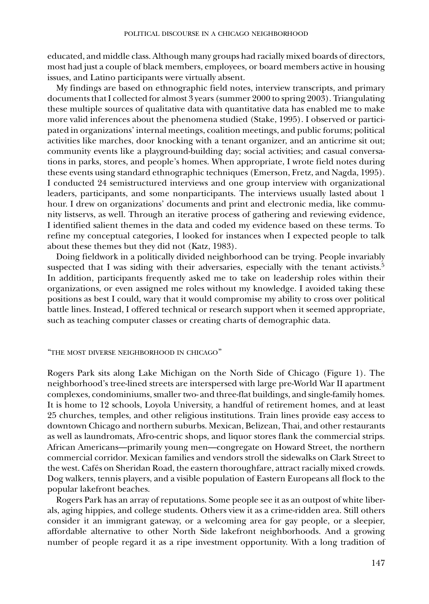educated, and middle class. Although many groups had racially mixed boards of directors, most had just a couple of black members, employees, or board members active in housing issues, and Latino participants were virtually absent.

My findings are based on ethnographic field notes, interview transcripts, and primary documents that I collected for almost 3 years (summer 2000 to spring 2003). Triangulating these multiple sources of qualitative data with quantitative data has enabled me to make more valid inferences about the phenomena studied (Stake, 1995). I observed or participated in organizations' internal meetings, coalition meetings, and public forums; political activities like marches, door knocking with a tenant organizer, and an anticrime sit out; community events like a playground-building day; social activities; and casual conversations in parks, stores, and people's homes. When appropriate, I wrote field notes during these events using standard ethnographic techniques (Emerson, Fretz, and Nagda, 1995). I conducted 24 semistructured interviews and one group interview with organizational leaders, participants, and some nonparticipants. The interviews usually lasted about 1 hour. I drew on organizations' documents and print and electronic media, like community listservs, as well. Through an iterative process of gathering and reviewing evidence, I identified salient themes in the data and coded my evidence based on these terms. To refine my conceptual categories, I looked for instances when I expected people to talk about these themes but they did not (Katz, 1983).

Doing fieldwork in a politically divided neighborhood can be trying. People invariably suspected that I was siding with their adversaries, especially with the tenant activists.<sup>5</sup> In addition, participants frequently asked me to take on leadership roles within their organizations, or even assigned me roles without my knowledge. I avoided taking these positions as best I could, wary that it would compromise my ability to cross over political battle lines. Instead, I offered technical or research support when it seemed appropriate, such as teaching computer classes or creating charts of demographic data.

"THE MOST DIVERSE NEIGHBORHOOD IN CHICAGO"

Rogers Park sits along Lake Michigan on the North Side of Chicago (Figure 1). The neighborhood's tree-lined streets are interspersed with large pre-World War II apartment complexes, condominiums, smaller two- and three-flat buildings, and single-family homes. It is home to 12 schools, Loyola University, a handful of retirement homes, and at least 25 churches, temples, and other religious institutions. Train lines provide easy access to downtown Chicago and northern suburbs. Mexican, Belizean, Thai, and other restaurants as well as laundromats, Afro-centric shops, and liquor stores flank the commercial strips. African Americans—primarily young men—congregate on Howard Street, the northern commercial corridor. Mexican families and vendors stroll the sidewalks on Clark Street to the west. Cafés on Sheridan Road, the eastern thoroughfare, attract racially mixed crowds. Dog walkers, tennis players, and a visible population of Eastern Europeans all flock to the popular lakefront beaches.

Rogers Park has an array of reputations. Some people see it as an outpost of white liberals, aging hippies, and college students. Others view it as a crime-ridden area. Still others consider it an immigrant gateway, or a welcoming area for gay people, or a sleepier, affordable alternative to other North Side lakefront neighborhoods. And a growing number of people regard it as a ripe investment opportunity. With a long tradition of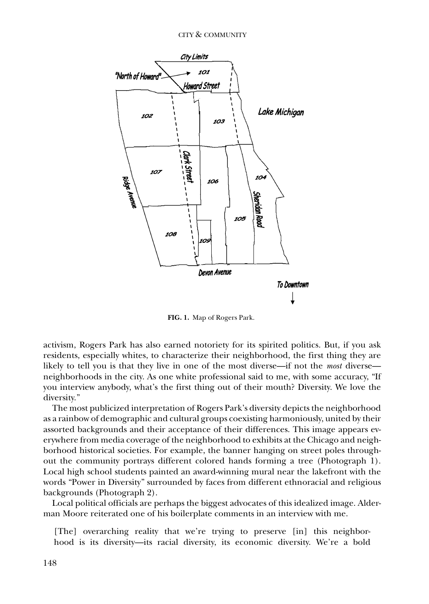

**FIG. 1.** Map of Rogers Park.

activism, Rogers Park has also earned notoriety for its spirited politics. But, if you ask residents, especially whites, to characterize their neighborhood, the first thing they are likely to tell you is that they live in one of the most diverse—if not the *most* diverse neighborhoods in the city. As one white professional said to me, with some accuracy, "If you interview anybody, what's the first thing out of their mouth? Diversity. We love the diversity."

The most publicized interpretation of Rogers Park's diversity depicts the neighborhood as a rainbow of demographic and cultural groups coexisting harmoniously, united by their assorted backgrounds and their acceptance of their differences. This image appears everywhere from media coverage of the neighborhood to exhibits at the Chicago and neighborhood historical societies. For example, the banner hanging on street poles throughout the community portrays different colored hands forming a tree (Photograph 1). Local high school students painted an award-winning mural near the lakefront with the words "Power in Diversity" surrounded by faces from different ethnoracial and religious backgrounds (Photograph 2).

Local political officials are perhaps the biggest advocates of this idealized image. Alderman Moore reiterated one of his boilerplate comments in an interview with me.

[The] overarching reality that we're trying to preserve [in] this neighborhood is its diversity—its racial diversity, its economic diversity. We're a bold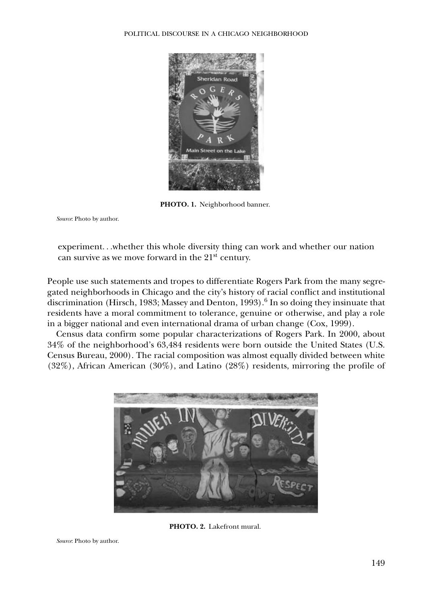#### POLITICAL DISCOURSE IN A CHICAGO NEIGHBORHOOD



**PHOTO. 1.** Neighborhood banner.

*Source*: Photo by author.

experiment...whether this whole diversity thing can work and whether our nation can survive as we move forward in the 21<sup>st</sup> century.

People use such statements and tropes to differentiate Rogers Park from the many segregated neighborhoods in Chicago and the city's history of racial conflict and institutional discrimination (Hirsch, 1983; Massey and Denton, 1993).<sup>6</sup> In so doing they insinuate that residents have a moral commitment to tolerance, genuine or otherwise, and play a role in a bigger national and even international drama of urban change (Cox, 1999).

Census data confirm some popular characterizations of Rogers Park. In 2000, about 34% of the neighborhood's 63,484 residents were born outside the United States (U.S. Census Bureau, 2000). The racial composition was almost equally divided between white (32%), African American (30%), and Latino (28%) residents, mirroring the profile of



**PHOTO. 2.** Lakefront mural.

*Source*: Photo by author.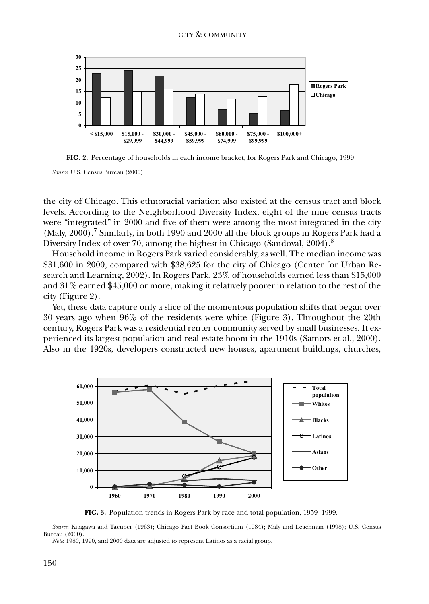## CITY & COMMUNITY



**FIG. 2.** Percentage of households in each income bracket, for Rogers Park and Chicago, 1999. *Source*: U.S. Census Bureau (2000).

the city of Chicago. This ethnoracial variation also existed at the census tract and block levels. According to the Neighborhood Diversity Index, eight of the nine census tracts were "integrated" in 2000 and five of them were among the most integrated in the city (Maly, 2000).<sup>7</sup> Similarly, in both 1990 and 2000 all the block groups in Rogers Park had a Diversity Index of over 70, among the highest in Chicago (Sandoval, 2004).<sup>8</sup>

Household income in Rogers Park varied considerably, as well. The median income was \$31,600 in 2000, compared with \$38,625 for the city of Chicago (Center for Urban Research and Learning, 2002). In Rogers Park, 23% of households earned less than \$15,000 and 31% earned \$45,000 or more, making it relatively poorer in relation to the rest of the city (Figure 2).

Yet, these data capture only a slice of the momentous population shifts that began over 30 years ago when 96% of the residents were white (Figure 3). Throughout the 20th century, Rogers Park was a residential renter community served by small businesses. It experienced its largest population and real estate boom in the 1910s (Samors et al., 2000). Also in the 1920s, developers constructed new houses, apartment buildings, churches,



**FIG. 3.** Population trends in Rogers Park by race and total population, 1959–1999.

*Source*: Kitagawa and Taeuber (1963); Chicago Fact Book Consortium (1984); Maly and Leachman (1998); U.S. Census Bureau (2000).

*Note*: 1980, 1990, and 2000 data are adjusted to represent Latinos as a racial group.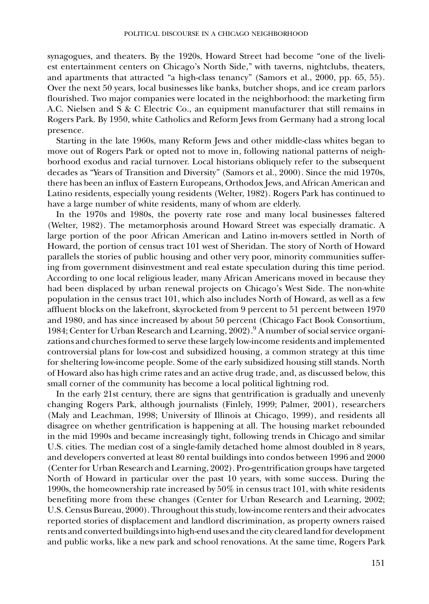synagogues, and theaters. By the 1920s, Howard Street had become "one of the liveliest entertainment centers on Chicago's North Side," with taverns, nightclubs, theaters, and apartments that attracted "a high-class tenancy" (Samors et al., 2000, pp. 65, 55). Over the next 50 years, local businesses like banks, butcher shops, and ice cream parlors flourished. Two major companies were located in the neighborhood: the marketing firm A.C. Nielsen and S & C Electric Co., an equipment manufacturer that still remains in Rogers Park. By 1950, white Catholics and Reform Jews from Germany had a strong local presence.

Starting in the late 1960s, many Reform Jews and other middle-class whites began to move out of Rogers Park or opted not to move in, following national patterns of neighborhood exodus and racial turnover. Local historians obliquely refer to the subsequent decades as "Years of Transition and Diversity" (Samors et al., 2000). Since the mid 1970s, there has been an influx of Eastern Europeans, Orthodox Jews, and African American and Latino residents, especially young residents (Welter, 1982). Rogers Park has continued to have a large number of white residents, many of whom are elderly.

In the 1970s and 1980s, the poverty rate rose and many local businesses faltered (Welter, 1982). The metamorphosis around Howard Street was especially dramatic. A large portion of the poor African American and Latino in-movers settled in North of Howard, the portion of census tract 101 west of Sheridan. The story of North of Howard parallels the stories of public housing and other very poor, minority communities suffering from government disinvestment and real estate speculation during this time period. According to one local religious leader, many African Americans moved in because they had been displaced by urban renewal projects on Chicago's West Side. The non-white population in the census tract 101, which also includes North of Howard, as well as a few affluent blocks on the lakefront, skyrocketed from 9 percent to 51 percent between 1970 and 1980, and has since increased by about 50 percent (Chicago Fact Book Consortium, 1984; Center for Urban Research and Learning, 2002).<sup>9</sup> A number of social service organizations and churches formed to serve these largely low-income residents and implemented controversial plans for low-cost and subsidized housing, a common strategy at this time for sheltering low-income people. Some of the early subsidized housing still stands. North of Howard also has high crime rates and an active drug trade, and, as discussed below, this small corner of the community has become a local political lightning rod.

In the early 21st century, there are signs that gentrification is gradually and unevenly changing Rogers Park, although journalists (Finlely, 1999; Palmer, 2001), researchers (Maly and Leachman, 1998; University of Illinois at Chicago, 1999), and residents all disagree on whether gentrification is happening at all. The housing market rebounded in the mid 1990s and became increasingly tight, following trends in Chicago and similar U.S. cities. The median cost of a single-family detached home almost doubled in 8 years, and developers converted at least 80 rental buildings into condos between 1996 and 2000 (Center for Urban Research and Learning, 2002). Pro-gentrification groups have targeted North of Howard in particular over the past 10 years, with some success. During the 1990s, the homeownership rate increased by 50% in census tract 101, with white residents benefiting more from these changes (Center for Urban Research and Learning, 2002; U.S. Census Bureau, 2000). Throughout this study, low-income renters and their advocates reported stories of displacement and landlord discrimination, as property owners raised rents and converted buildings into high-end uses and the city cleared land for development and public works, like a new park and school renovations. At the same time, Rogers Park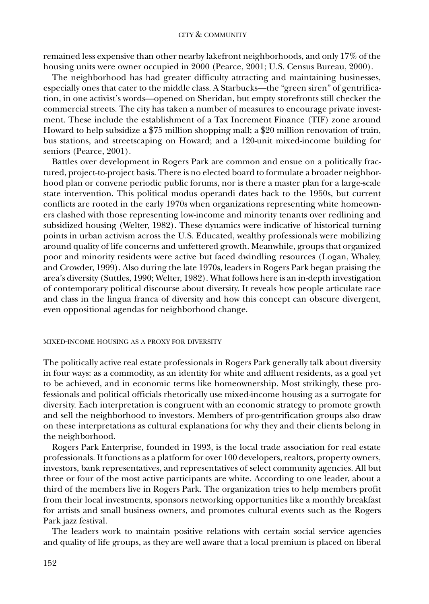remained less expensive than other nearby lakefront neighborhoods, and only 17% of the housing units were owner occupied in 2000 (Pearce, 2001; U.S. Census Bureau, 2000).

The neighborhood has had greater difficulty attracting and maintaining businesses, especially ones that cater to the middle class. A Starbucks—the "green siren" of gentrification, in one activist's words—opened on Sheridan, but empty storefronts still checker the commercial streets. The city has taken a number of measures to encourage private investment. These include the establishment of a Tax Increment Finance (TIF) zone around Howard to help subsidize a \$75 million shopping mall; a \$20 million renovation of train, bus stations, and streetscaping on Howard; and a 120-unit mixed-income building for seniors (Pearce, 2001).

Battles over development in Rogers Park are common and ensue on a politically fractured, project-to-project basis. There is no elected board to formulate a broader neighborhood plan or convene periodic public forums, nor is there a master plan for a large-scale state intervention. This political modus operandi dates back to the 1950s, but current conflicts are rooted in the early 1970s when organizations representing white homeowners clashed with those representing low-income and minority tenants over redlining and subsidized housing (Welter, 1982). These dynamics were indicative of historical turning points in urban activism across the U.S. Educated, wealthy professionals were mobilizing around quality of life concerns and unfettered growth. Meanwhile, groups that organized poor and minority residents were active but faced dwindling resources (Logan, Whaley, and Crowder, 1999). Also during the late 1970s, leaders in Rogers Park began praising the area's diversity (Suttles, 1990; Welter, 1982). What follows here is an in-depth investigation of contemporary political discourse about diversity. It reveals how people articulate race and class in the lingua franca of diversity and how this concept can obscure divergent, even oppositional agendas for neighborhood change.

## MIXED-INCOME HOUSING AS A PROXY FOR DIVERSITY

The politically active real estate professionals in Rogers Park generally talk about diversity in four ways: as a commodity, as an identity for white and affluent residents, as a goal yet to be achieved, and in economic terms like homeownership. Most strikingly, these professionals and political officials rhetorically use mixed-income housing as a surrogate for diversity. Each interpretation is congruent with an economic strategy to promote growth and sell the neighborhood to investors. Members of pro-gentrification groups also draw on these interpretations as cultural explanations for why they and their clients belong in the neighborhood.

Rogers Park Enterprise, founded in 1993, is the local trade association for real estate professionals. It functions as a platform for over 100 developers, realtors, property owners, investors, bank representatives, and representatives of select community agencies. All but three or four of the most active participants are white. According to one leader, about a third of the members live in Rogers Park. The organization tries to help members profit from their local investments, sponsors networking opportunities like a monthly breakfast for artists and small business owners, and promotes cultural events such as the Rogers Park jazz festival.

The leaders work to maintain positive relations with certain social service agencies and quality of life groups, as they are well aware that a local premium is placed on liberal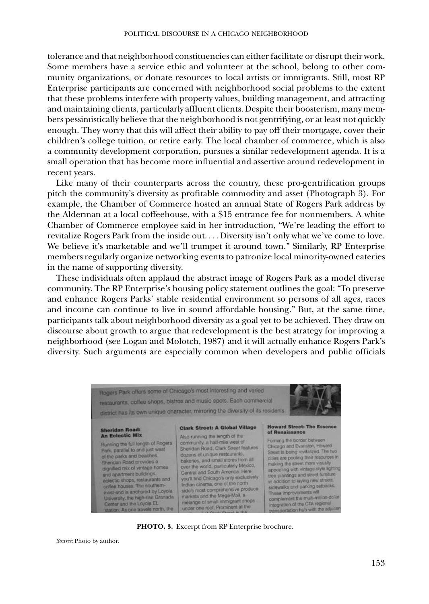tolerance and that neighborhood constituencies can either facilitate or disrupt their work. Some members have a service ethic and volunteer at the school, belong to other community organizations, or donate resources to local artists or immigrants. Still, most RP Enterprise participants are concerned with neighborhood social problems to the extent that these problems interfere with property values, building management, and attracting and maintaining clients, particularly affluent clients. Despite their boosterism, many members pessimistically believe that the neighborhood is not gentrifying, or at least not quickly enough. They worry that this will affect their ability to pay off their mortgage, cover their children's college tuition, or retire early. The local chamber of commerce, which is also a community development corporation, pursues a similar redevelopment agenda. It is a small operation that has become more influential and assertive around redevelopment in recent years.

Like many of their counterparts across the country, these pro-gentrification groups pitch the community's diversity as profitable commodity and asset (Photograph 3). For example, the Chamber of Commerce hosted an annual State of Rogers Park address by the Alderman at a local coffeehouse, with a \$15 entrance fee for nonmembers. A white Chamber of Commerce employee said in her introduction, "We're leading the effort to revitalize Rogers Park from the inside out. ... Diversity isn't only what we've come to love. We believe it's marketable and we'll trumpet it around town." Similarly, RP Enterprise members regularly organize networking events to patronize local minority-owned eateries in the name of supporting diversity.

These individuals often applaud the abstract image of Rogers Park as a model diverse community. The RP Enterprise's housing policy statement outlines the goal: "To preserve and enhance Rogers Parks' stable residential environment so persons of all ages, races and income can continue to live in sound affordable housing." But, at the same time, participants talk about neighborhood diversity as a goal yet to be achieved. They draw on discourse about growth to argue that redevelopment is the best strategy for improving a neighborhood (see Logan and Molotch, 1987) and it will actually enhance Rogers Park's diversity. Such arguments are especially common when developers and public officials



**PHOTO. 3.** Excerpt from RP Enterprise brochure.

*Source*: Photo by author.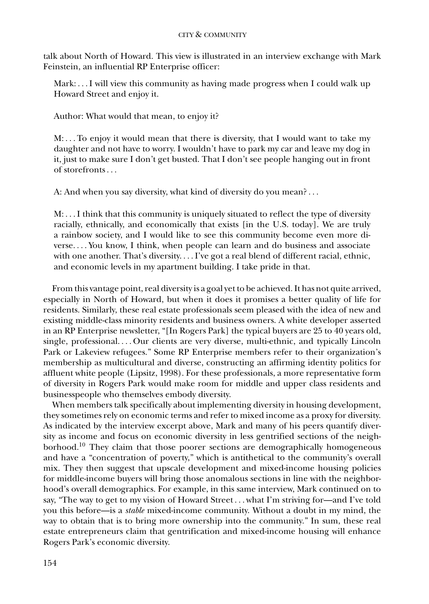talk about North of Howard. This view is illustrated in an interview exchange with Mark Feinstein, an influential RP Enterprise officer:

Mark: ...I will view this community as having made progress when I could walk up Howard Street and enjoy it.

Author: What would that mean, to enjoy it?

M: ... To enjoy it would mean that there is diversity, that I would want to take my daughter and not have to worry. I wouldn't have to park my car and leave my dog in it, just to make sure I don't get busted. That I don't see people hanging out in front of storefronts...

A: And when you say diversity, what kind of diversity do you mean? ...

M: ...I think that this community is uniquely situated to reflect the type of diversity racially, ethnically, and economically that exists [in the U.S. today]. We are truly a rainbow society, and I would like to see this community become even more diverse. ... You know, I think, when people can learn and do business and associate with one another. That's diversity. ...I've got a real blend of different racial, ethnic, and economic levels in my apartment building. I take pride in that.

From this vantage point, real diversity is a goal yet to be achieved. It has not quite arrived, especially in North of Howard, but when it does it promises a better quality of life for residents. Similarly, these real estate professionals seem pleased with the idea of new and existing middle-class minority residents and business owners. A white developer asserted in an RP Enterprise newsletter, "[In Rogers Park] the typical buyers are 25 to 40 years old, single, professional. ... Our clients are very diverse, multi-ethnic, and typically Lincoln Park or Lakeview refugees." Some RP Enterprise members refer to their organization's membership as multicultural and diverse, constructing an affirming identity politics for affluent white people (Lipsitz, 1998). For these professionals, a more representative form of diversity in Rogers Park would make room for middle and upper class residents and businesspeople who themselves embody diversity.

When members talk specifically about implementing diversity in housing development, they sometimes rely on economic terms and refer to mixed income as a proxy for diversity. As indicated by the interview excerpt above, Mark and many of his peers quantify diversity as income and focus on economic diversity in less gentrified sections of the neighborhood.<sup>10</sup> They claim that those poorer sections are demographically homogeneous and have a "concentration of poverty," which is antithetical to the community's overall mix. They then suggest that upscale development and mixed-income housing policies for middle-income buyers will bring those anomalous sections in line with the neighborhood's overall demographics. For example, in this same interview, Mark continued on to say, "The way to get to my vision of Howard Street ... what I'm striving for—and I've told you this before—is a *stable* mixed-income community. Without a doubt in my mind, the way to obtain that is to bring more ownership into the community." In sum, these real estate entrepreneurs claim that gentrification and mixed-income housing will enhance Rogers Park's economic diversity.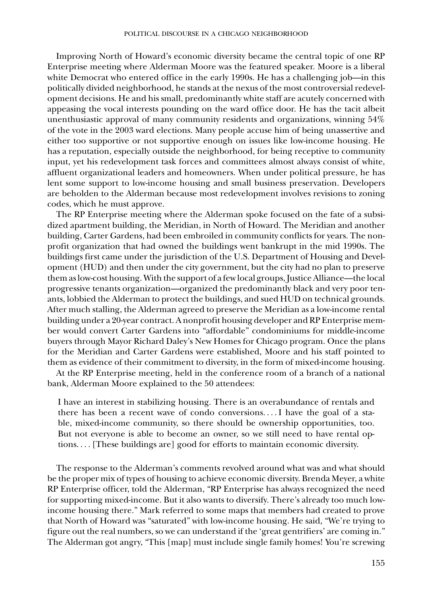Improving North of Howard's economic diversity became the central topic of one RP Enterprise meeting where Alderman Moore was the featured speaker. Moore is a liberal white Democrat who entered office in the early 1990s. He has a challenging job—in this politically divided neighborhood, he stands at the nexus of the most controversial redevelopment decisions. He and his small, predominantly white staff are acutely concerned with appeasing the vocal interests pounding on the ward office door. He has the tacit albeit unenthusiastic approval of many community residents and organizations, winning 54% of the vote in the 2003 ward elections. Many people accuse him of being unassertive and either too supportive or not supportive enough on issues like low-income housing. He has a reputation, especially outside the neighborhood, for being receptive to community input, yet his redevelopment task forces and committees almost always consist of white, affluent organizational leaders and homeowners. When under political pressure, he has lent some support to low-income housing and small business preservation. Developers are beholden to the Alderman because most redevelopment involves revisions to zoning codes, which he must approve.

The RP Enterprise meeting where the Alderman spoke focused on the fate of a subsidized apartment building, the Meridian, in North of Howard. The Meridian and another building, Carter Gardens, had been embroiled in community conflicts for years. The nonprofit organization that had owned the buildings went bankrupt in the mid 1990s. The buildings first came under the jurisdiction of the U.S. Department of Housing and Development (HUD) and then under the city government, but the city had no plan to preserve them as low-cost housing. With the support of a few local groups, Justice Alliance—the local progressive tenants organization—organized the predominantly black and very poor tenants, lobbied the Alderman to protect the buildings, and sued HUD on technical grounds. After much stalling, the Alderman agreed to preserve the Meridian as a low-income rental building under a 20-year contract. A nonprofit housing developer and RP Enterprise member would convert Carter Gardens into "affordable" condominiums for middle-income buyers through Mayor Richard Daley's New Homes for Chicago program. Once the plans for the Meridian and Carter Gardens were established, Moore and his staff pointed to them as evidence of their commitment to diversity, in the form of mixed-income housing.

At the RP Enterprise meeting, held in the conference room of a branch of a national bank, Alderman Moore explained to the 50 attendees:

I have an interest in stabilizing housing. There is an overabundance of rentals and there has been a recent wave of condo conversions. ...I have the goal of a stable, mixed-income community, so there should be ownership opportunities, too. But not everyone is able to become an owner, so we still need to have rental options. ... [These buildings are] good for efforts to maintain economic diversity.

The response to the Alderman's comments revolved around what was and what should be the proper mix of types of housing to achieve economic diversity. Brenda Meyer, a white RP Enterprise officer, told the Alderman, "RP Enterprise has always recognized the need for supporting mixed-income. But it also wants to diversify. There's already too much lowincome housing there." Mark referred to some maps that members had created to prove that North of Howard was "saturated" with low-income housing. He said, "We're trying to figure out the real numbers, so we can understand if the 'great gentrifiers' are coming in." The Alderman got angry, "This [map] must include single family homes! You're screwing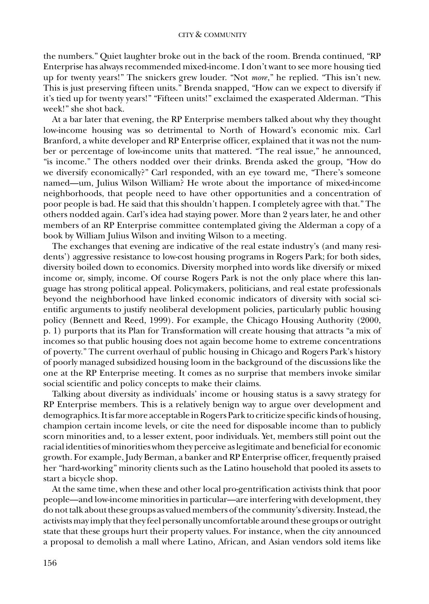the numbers." Quiet laughter broke out in the back of the room. Brenda continued, "RP Enterprise has always recommended mixed-income. I don't want to see more housing tied up for twenty years!" The snickers grew louder. "Not *more*," he replied. "This isn't new. This is just preserving fifteen units." Brenda snapped, "How can we expect to diversify if it's tied up for twenty years!" "Fifteen units!" exclaimed the exasperated Alderman. "This week!" she shot back.

At a bar later that evening, the RP Enterprise members talked about why they thought low-income housing was so detrimental to North of Howard's economic mix. Carl Branford, a white developer and RP Enterprise officer, explained that it was not the number or percentage of low-income units that mattered. "The real issue," he announced, "is income." The others nodded over their drinks. Brenda asked the group, "How do we diversify economically?" Carl responded, with an eye toward me, "There's someone named—um, Julius Wilson William? He wrote about the importance of mixed-income neighborhoods, that people need to have other opportunities and a concentration of poor people is bad. He said that this shouldn't happen. I completely agree with that." The others nodded again. Carl's idea had staying power. More than 2 years later, he and other members of an RP Enterprise committee contemplated giving the Alderman a copy of a book by William Julius Wilson and inviting Wilson to a meeting.

The exchanges that evening are indicative of the real estate industry's (and many residents') aggressive resistance to low-cost housing programs in Rogers Park; for both sides, diversity boiled down to economics. Diversity morphed into words like diversify or mixed income or, simply, income. Of course Rogers Park is not the only place where this language has strong political appeal. Policymakers, politicians, and real estate professionals beyond the neighborhood have linked economic indicators of diversity with social scientific arguments to justify neoliberal development policies, particularly public housing policy (Bennett and Reed, 1999). For example, the Chicago Housing Authority (2000, p. 1) purports that its Plan for Transformation will create housing that attracts "a mix of incomes so that public housing does not again become home to extreme concentrations of poverty." The current overhaul of public housing in Chicago and Rogers Park's history of poorly managed subsidized housing loom in the background of the discussions like the one at the RP Enterprise meeting. It comes as no surprise that members invoke similar social scientific and policy concepts to make their claims.

Talking about diversity as individuals' income or housing status is a savvy strategy for RP Enterprise members. This is a relatively benign way to argue over development and demographics. It is far more acceptable in Rogers Park to criticize specific kinds of housing, champion certain income levels, or cite the need for disposable income than to publicly scorn minorities and, to a lesser extent, poor individuals. Yet, members still point out the racial identities of minorities whom they perceive as legitimate and beneficial for economic growth. For example, Judy Berman, a banker and RP Enterprise officer, frequently praised her "hard-working" minority clients such as the Latino household that pooled its assets to start a bicycle shop.

At the same time, when these and other local pro-gentrification activists think that poor people—and low-income minorities in particular—are interfering with development, they do not talk about these groups as valued members of the community's diversity. Instead, the activists may imply that they feel personally uncomfortable around these groups or outright state that these groups hurt their property values. For instance, when the city announced a proposal to demolish a mall where Latino, African, and Asian vendors sold items like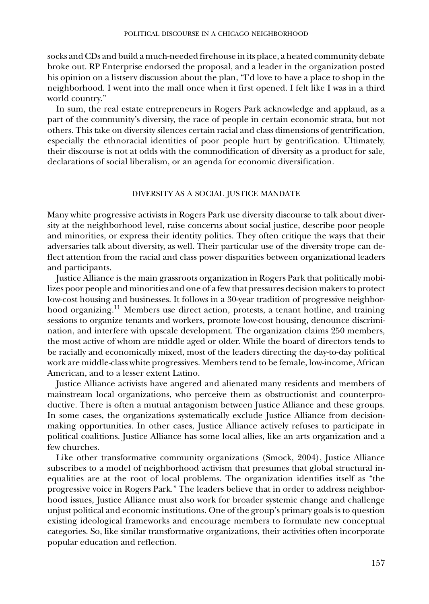socks and CDs and build a much-needed firehouse in its place, a heated community debate broke out. RP Enterprise endorsed the proposal, and a leader in the organization posted his opinion on a listserv discussion about the plan, "I'd love to have a place to shop in the neighborhood. I went into the mall once when it first opened. I felt like I was in a third world country."

In sum, the real estate entrepreneurs in Rogers Park acknowledge and applaud, as a part of the community's diversity, the race of people in certain economic strata, but not others. This take on diversity silences certain racial and class dimensions of gentrification, especially the ethnoracial identities of poor people hurt by gentrification. Ultimately, their discourse is not at odds with the commodification of diversity as a product for sale, declarations of social liberalism, or an agenda for economic diversification.

# DIVERSITY AS A SOCIAL JUSTICE MANDATE

Many white progressive activists in Rogers Park use diversity discourse to talk about diversity at the neighborhood level, raise concerns about social justice, describe poor people and minorities, or express their identity politics. They often critique the ways that their adversaries talk about diversity, as well. Their particular use of the diversity trope can deflect attention from the racial and class power disparities between organizational leaders and participants.

Justice Alliance is the main grassroots organization in Rogers Park that politically mobilizes poor people and minorities and one of a few that pressures decision makers to protect low-cost housing and businesses. It follows in a 30-year tradition of progressive neighborhood organizing.<sup>11</sup> Members use direct action, protests, a tenant hotline, and training sessions to organize tenants and workers, promote low-cost housing, denounce discrimination, and interfere with upscale development. The organization claims 250 members, the most active of whom are middle aged or older. While the board of directors tends to be racially and economically mixed, most of the leaders directing the day-to-day political work are middle-class white progressives. Members tend to be female, low-income, African American, and to a lesser extent Latino.

Justice Alliance activists have angered and alienated many residents and members of mainstream local organizations, who perceive them as obstructionist and counterproductive. There is often a mutual antagonism between Justice Alliance and these groups. In some cases, the organizations systematically exclude Justice Alliance from decisionmaking opportunities. In other cases, Justice Alliance actively refuses to participate in political coalitions. Justice Alliance has some local allies, like an arts organization and a few churches.

Like other transformative community organizations (Smock, 2004), Justice Alliance subscribes to a model of neighborhood activism that presumes that global structural inequalities are at the root of local problems. The organization identifies itself as "the progressive voice in Rogers Park." The leaders believe that in order to address neighborhood issues, Justice Alliance must also work for broader systemic change and challenge unjust political and economic institutions. One of the group's primary goals is to question existing ideological frameworks and encourage members to formulate new conceptual categories. So, like similar transformative organizations, their activities often incorporate popular education and reflection.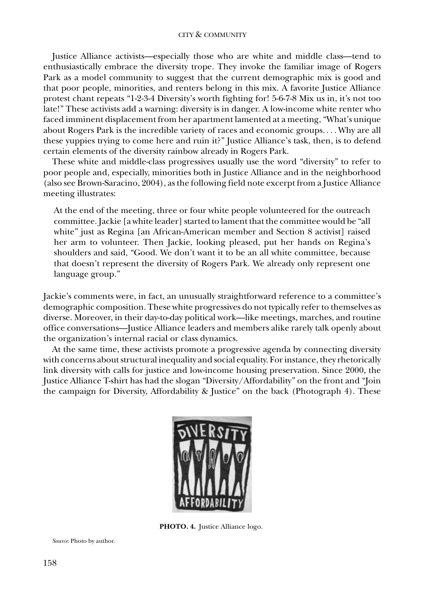# CITY & COMMUNITY

Justice Alliance activists—especially those who are white and middle class—tend to enthusiastically embrace the diversity trope. They invoke the familiar image of Rogers Park as a model community to suggest that the current demographic mix is good and that poor people, minorities, and renters belong in this mix. A favorite Justice Alliance protest chant repeats "1-2-3-4 Diversity's worth fighting for! 5-6-7-8 Mix us in, it's not too late!" These activists add a warning: diversity is in danger. A low-income white renter who faced imminent displacement from her apartment lamented at a meeting, "What's unique about Rogers Park is the incredible variety of races and economic groups. ... Why are all these yuppies trying to come here and ruin it?" Justice Alliance's task, then, is to defend certain elements of the diversity rainbow already in Rogers Park.

These white and middle-class progressives usually use the word "diversity" to refer to poor people and, especially, minorities both in Justice Alliance and in the neighborhood (also see Brown-Saracino, 2004), as the following field note excerpt from a Justice Alliance meeting illustrates:

At the end of the meeting, three or four white people volunteered for the outreach committee. Jackie [a white leader] started to lament that the committee would be "all white" just as Regina [an African-American member and Section 8 activist] raised her arm to volunteer. Then Jackie, looking pleased, put her hands on Regina's shoulders and said, "Good. We don't want it to be an all white committee, because that doesn't represent the diversity of Rogers Park. We already only represent one language group."

Jackie's comments were, in fact, an unusually straightforward reference to a committee's demographic composition. These white progressives do not typically refer to themselves as diverse. Moreover, in their day-to-day political work—like meetings, marches, and routine office conversations—Justice Alliance leaders and members alike rarely talk openly about the organization's internal racial or class dynamics.

At the same time, these activists promote a progressive agenda by connecting diversity with concerns about structural inequality and social equality. For instance, they rhetorically link diversity with calls for justice and low-income housing preservation. Since 2000, the Justice Alliance T-shirt has had the slogan "Diversity/Affordability" on the front and "Join the campaign for Diversity, Affordability & Justice" on the back (Photograph 4). These



**PHOTO. 4.** Justice Alliance logo.

*Source*: Photo by author.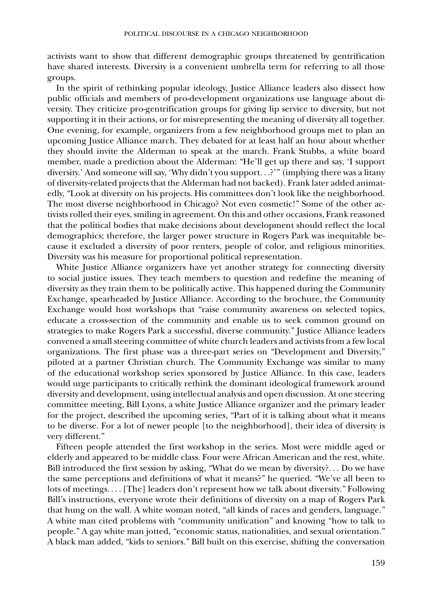activists want to show that different demographic groups threatened by gentrification have shared interests. Diversity is a convenient umbrella term for referring to all those groups.

In the spirit of rethinking popular ideology, Justice Alliance leaders also dissect how public officials and members of pro-development organizations use language about diversity. They criticize pro-gentrification groups for giving lip service to diversity, but not supporting it in their actions, or for misrepresenting the meaning of diversity all together. One evening, for example, organizers from a few neighborhood groups met to plan an upcoming Justice Alliance march. They debated for at least half an hour about whether they should invite the Alderman to speak at the march. Frank Stubbs, a white board member, made a prediction about the Alderman: "He'll get up there and say, 'I support diversity.' And someone will say, 'Why didn't you support...?'" (implying there was a litany of diversity-related projects that the Alderman had not backed). Frank later added animatedly, "Look at diversity on his projects. His committees don't look like the neighborhood. The most diverse neighborhood in Chicago? Not even cosmetic!" Some of the other activists rolled their eyes, smiling in agreement. On this and other occasions, Frank reasoned that the political bodies that make decisions about development should reflect the local demographics; therefore, the larger power structure in Rogers Park was inequitable because it excluded a diversity of poor renters, people of color, and religious minorities. Diversity was his measure for proportional political representation.

White Justice Alliance organizers have yet another strategy for connecting diversity to social justice issues. They teach members to question and redefine the meaning of diversity as they train them to be politically active. This happened during the Community Exchange, spearheaded by Justice Alliance. According to the brochure, the Community Exchange would host workshops that "raise community awareness on selected topics, educate a cross-section of the community and enable us to seek common ground on strategies to make Rogers Park a successful, diverse community." Justice Alliance leaders convened a small steering committee of white church leaders and activists from a few local organizations. The first phase was a three-part series on "Development and Diversity," piloted at a partner Christian church. The Community Exchange was similar to many of the educational workshop series sponsored by Justice Alliance. In this case, leaders would urge participants to critically rethink the dominant ideological framework around diversity and development, using intellectual analysis and open discussion. At one steering committee meeting, Bill Lyons, a white Justice Alliance organizer and the primary leader for the project, described the upcoming series, "Part of it is talking about what it means to be diverse. For a lot of newer people [to the neighborhood], their idea of diversity is very different."

Fifteen people attended the first workshop in the series. Most were middle aged or elderly and appeared to be middle class. Four were African American and the rest, white. Bill introduced the first session by asking, "What do we mean by diversity?... Do we have the same perceptions and definitions of what it means?" he queried. "We've all been to lots of meetings. ... [The] leaders don't represent how we talk about diversity." Following Bill's instructions, everyone wrote their definitions of diversity on a map of Rogers Park that hung on the wall. A white woman noted, "all kinds of races and genders, language." A white man cited problems with "community unification" and knowing "how to talk to people." A gay white man jotted, "economic status, nationalities, and sexual orientation." A black man added, "kids to seniors." Bill built on this exercise, shifting the conversation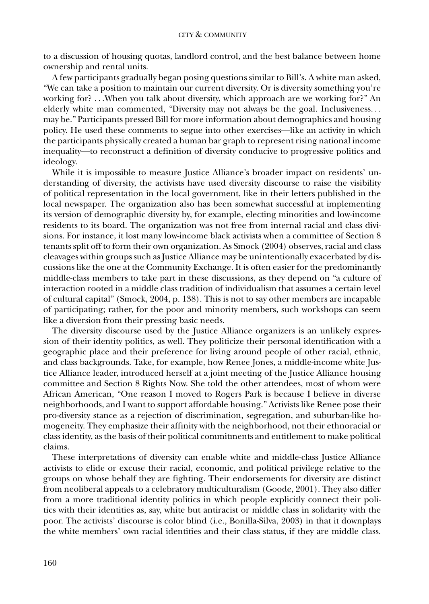to a discussion of housing quotas, landlord control, and the best balance between home ownership and rental units.

A few participants gradually began posing questions similar to Bill's. A white man asked, "We can take a position to maintain our current diversity. Or is diversity something you're working for? ...When you talk about diversity, which approach are we working for?" An elderly white man commented, "Diversity may not always be the goal. Inclusiveness... may be." Participants pressed Bill for more information about demographics and housing policy. He used these comments to segue into other exercises—like an activity in which the participants physically created a human bar graph to represent rising national income inequality—to reconstruct a definition of diversity conducive to progressive politics and ideology.

While it is impossible to measure Justice Alliance's broader impact on residents' understanding of diversity, the activists have used diversity discourse to raise the visibility of political representation in the local government, like in their letters published in the local newspaper. The organization also has been somewhat successful at implementing its version of demographic diversity by, for example, electing minorities and low-income residents to its board. The organization was not free from internal racial and class divisions. For instance, it lost many low-income black activists when a committee of Section 8 tenants split off to form their own organization. As Smock (2004) observes, racial and class cleavages within groups such as Justice Alliance may be unintentionally exacerbated by discussions like the one at the Community Exchange. It is often easier for the predominantly middle-class members to take part in these discussions, as they depend on "a culture of interaction rooted in a middle class tradition of individualism that assumes a certain level of cultural capital" (Smock, 2004, p. 138). This is not to say other members are incapable of participating; rather, for the poor and minority members, such workshops can seem like a diversion from their pressing basic needs.

The diversity discourse used by the Justice Alliance organizers is an unlikely expression of their identity politics, as well. They politicize their personal identification with a geographic place and their preference for living around people of other racial, ethnic, and class backgrounds. Take, for example, how Renee Jones, a middle-income white Justice Alliance leader, introduced herself at a joint meeting of the Justice Alliance housing committee and Section 8 Rights Now. She told the other attendees, most of whom were African American, "One reason I moved to Rogers Park is because I believe in diverse neighborhoods, and I want to support affordable housing." Activists like Renee pose their pro-diversity stance as a rejection of discrimination, segregation, and suburban-like homogeneity. They emphasize their affinity with the neighborhood, not their ethnoracial or class identity, as the basis of their political commitments and entitlement to make political claims.

These interpretations of diversity can enable white and middle-class Justice Alliance activists to elide or excuse their racial, economic, and political privilege relative to the groups on whose behalf they are fighting. Their endorsements for diversity are distinct from neoliberal appeals to a celebratory multiculturalism (Goode, 2001). They also differ from a more traditional identity politics in which people explicitly connect their politics with their identities as, say, white but antiracist or middle class in solidarity with the poor. The activists' discourse is color blind (i.e., Bonilla-Silva, 2003) in that it downplays the white members' own racial identities and their class status, if they are middle class.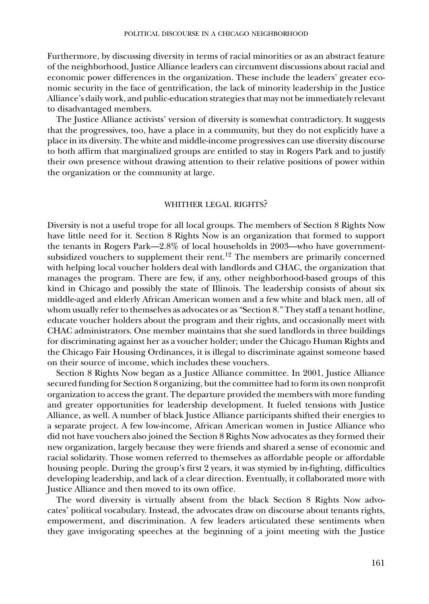Furthermore, by discussing diversity in terms of racial minorities or as an abstract feature of the neighborhood, Justice Alliance leaders can circumvent discussions about racial and economic power differences in the organization. These include the leaders' greater economic security in the face of gentrification, the lack of minority leadership in the Justice Alliance's daily work, and public-education strategies that may not be immediately relevant to disadvantaged members.

The Justice Alliance activists' version of diversity is somewhat contradictory. It suggests that the progressives, too, have a place in a community, but they do not explicitly have a place in its diversity. The white and middle-income progressives can use diversity discourse to both affirm that marginalized groups are entitled to stay in Rogers Park and to justify their own presence without drawing attention to their relative positions of power within the organization or the community at large.

# WHITHER LEGAL RIGHTS?

Diversity is not a useful trope for all local groups. The members of Section 8 Rights Now have little need for it. Section 8 Rights Now is an organization that formed to support the tenants in Rogers Park—2.8% of local households in 2003—who have governmentsubsidized vouchers to supplement their rent.<sup>12</sup> The members are primarily concerned with helping local voucher holders deal with landlords and CHAC, the organization that manages the program. There are few, if any, other neighborhood-based groups of this kind in Chicago and possibly the state of Illinois. The leadership consists of about six middle-aged and elderly African American women and a few white and black men, all of whom usually refer to themselves as advocates or as "Section 8." They staff a tenant hotline, educate voucher holders about the program and their rights, and occasionally meet with CHAC administrators. One member maintains that she sued landlords in three buildings for discriminating against her as a voucher holder; under the Chicago Human Rights and the Chicago Fair Housing Ordinances, it is illegal to discriminate against someone based on their source of income, which includes these vouchers.

Section 8 Rights Now began as a Justice Alliance committee. In 2001, Justice Alliance secured funding for Section 8 organizing, but the committee had to form its own nonprofit organization to access the grant. The departure provided the members with more funding and greater opportunities for leadership development. It fueled tensions with Justice Alliance, as well. A number of black Justice Alliance participants shifted their energies to a separate project. A few low-income, African American women in Justice Alliance who did not have vouchers also joined the Section 8 Rights Now advocates as they formed their new organization, largely because they were friends and shared a sense of economic and racial solidarity. Those women referred to themselves as affordable people or affordable housing people. During the group's first 2 years, it was stymied by in-fighting, difficulties developing leadership, and lack of a clear direction. Eventually, it collaborated more with Justice Alliance and then moved to its own office.

The word diversity is virtually absent from the black Section 8 Rights Now advocates' political vocabulary. Instead, the advocates draw on discourse about tenants rights, empowerment, and discrimination. A few leaders articulated these sentiments when they gave invigorating speeches at the beginning of a joint meeting with the Justice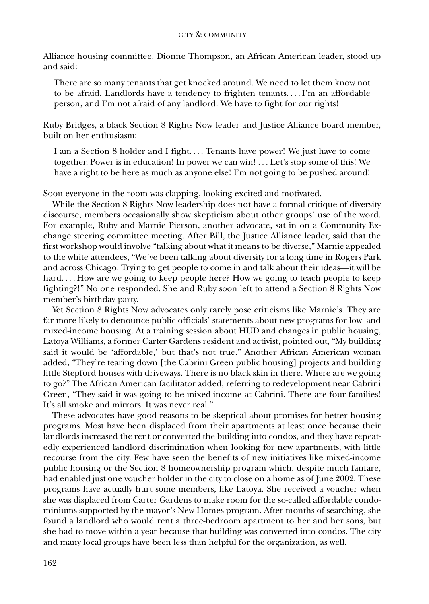Alliance housing committee. Dionne Thompson, an African American leader, stood up and said:

There are so many tenants that get knocked around. We need to let them know not to be afraid. Landlords have a tendency to frighten tenants. ...I'm an affordable person, and I'm not afraid of any landlord. We have to fight for our rights!

Ruby Bridges, a black Section 8 Rights Now leader and Justice Alliance board member, built on her enthusiasm:

I am a Section 8 holder and I fight... . Tenants have power! We just have to come together. Power is in education! In power we can win! ... Let's stop some of this! We have a right to be here as much as anyone else! I'm not going to be pushed around!

Soon everyone in the room was clapping, looking excited and motivated.

While the Section 8 Rights Now leadership does not have a formal critique of diversity discourse, members occasionally show skepticism about other groups' use of the word. For example, Ruby and Marnie Pierson, another advocate, sat in on a Community Exchange steering committee meeting. After Bill, the Justice Alliance leader, said that the first workshop would involve "talking about what it means to be diverse," Marnie appealed to the white attendees, "We've been talking about diversity for a long time in Rogers Park and across Chicago. Trying to get people to come in and talk about their ideas—it will be hard. ... How are we going to keep people here? How we going to teach people to keep fighting?!" No one responded. She and Ruby soon left to attend a Section 8 Rights Now member's birthday party.

Yet Section 8 Rights Now advocates only rarely pose criticisms like Marnie's. They are far more likely to denounce public officials' statements about new programs for low- and mixed-income housing. At a training session about HUD and changes in public housing, Latoya Williams, a former Carter Gardens resident and activist, pointed out, "My building said it would be 'affordable,' but that's not true." Another African American woman added, "They're tearing down [the Cabrini Green public housing] projects and building little Stepford houses with driveways. There is no black skin in there. Where are we going to go?" The African American facilitator added, referring to redevelopment near Cabrini Green, "They said it was going to be mixed-income at Cabrini. There are four families! It's all smoke and mirrors. It was never real."

These advocates have good reasons to be skeptical about promises for better housing programs. Most have been displaced from their apartments at least once because their landlords increased the rent or converted the building into condos, and they have repeatedly experienced landlord discrimination when looking for new apartments, with little recourse from the city. Few have seen the benefits of new initiatives like mixed-income public housing or the Section 8 homeownership program which, despite much fanfare, had enabled just one voucher holder in the city to close on a home as of June 2002. These programs have actually hurt some members, like Latoya. She received a voucher when she was displaced from Carter Gardens to make room for the so-called affordable condominiums supported by the mayor's New Homes program. After months of searching, she found a landlord who would rent a three-bedroom apartment to her and her sons, but she had to move within a year because that building was converted into condos. The city and many local groups have been less than helpful for the organization, as well.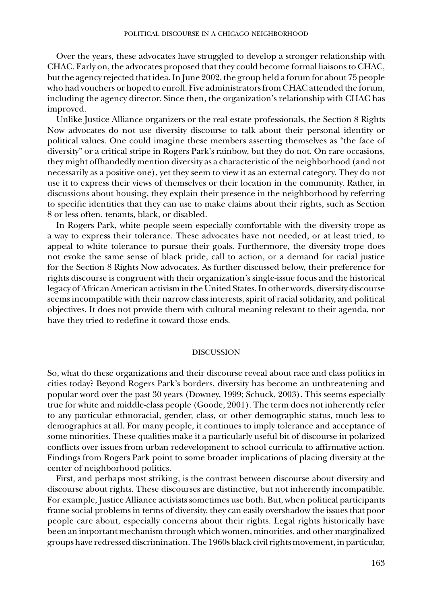Over the years, these advocates have struggled to develop a stronger relationship with CHAC. Early on, the advocates proposed that they could become formal liaisons to CHAC, but the agency rejected that idea. In June 2002, the group held a forum for about 75 people who had vouchers or hoped to enroll. Five administrators from CHAC attended the forum, including the agency director. Since then, the organization's relationship with CHAC has improved.

Unlike Justice Alliance organizers or the real estate professionals, the Section 8 Rights Now advocates do not use diversity discourse to talk about their personal identity or political values. One could imagine these members asserting themselves as "the face of diversity" or a critical stripe in Rogers Park's rainbow, but they do not. On rare occasions, they might offhandedly mention diversity as a characteristic of the neighborhood (and not necessarily as a positive one), yet they seem to view it as an external category. They do not use it to express their views of themselves or their location in the community. Rather, in discussions about housing, they explain their presence in the neighborhood by referring to specific identities that they can use to make claims about their rights, such as Section 8 or less often, tenants, black, or disabled.

In Rogers Park, white people seem especially comfortable with the diversity trope as a way to express their tolerance. These advocates have not needed, or at least tried, to appeal to white tolerance to pursue their goals. Furthermore, the diversity trope does not evoke the same sense of black pride, call to action, or a demand for racial justice for the Section 8 Rights Now advocates. As further discussed below, their preference for rights discourse is congruent with their organization's single-issue focus and the historical legacy of African American activism in the United States. In other words, diversity discourse seems incompatible with their narrow class interests, spirit of racial solidarity, and political objectives. It does not provide them with cultural meaning relevant to their agenda, nor have they tried to redefine it toward those ends.

## DISCUSSION

So, what do these organizations and their discourse reveal about race and class politics in cities today? Beyond Rogers Park's borders, diversity has become an unthreatening and popular word over the past 30 years (Downey, 1999; Schuck, 2003). This seems especially true for white and middle-class people (Goode, 2001). The term does not inherently refer to any particular ethnoracial, gender, class, or other demographic status, much less to demographics at all. For many people, it continues to imply tolerance and acceptance of some minorities. These qualities make it a particularly useful bit of discourse in polarized conflicts over issues from urban redevelopment to school curricula to affirmative action. Findings from Rogers Park point to some broader implications of placing diversity at the center of neighborhood politics.

First, and perhaps most striking, is the contrast between discourse about diversity and discourse about rights. These discourses are distinctive, but not inherently incompatible. For example, Justice Alliance activists sometimes use both. But, when political participants frame social problems in terms of diversity, they can easily overshadow the issues that poor people care about, especially concerns about their rights. Legal rights historically have been an important mechanism through which women, minorities, and other marginalized groups have redressed discrimination. The 1960s black civil rights movement, in particular,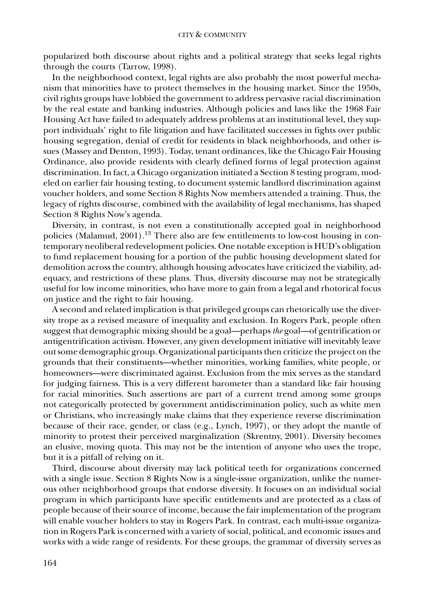popularized both discourse about rights and a political strategy that seeks legal rights through the courts (Tarrow, 1998).

In the neighborhood context, legal rights are also probably the most powerful mechanism that minorities have to protect themselves in the housing market. Since the 1950s, civil rights groups have lobbied the government to address pervasive racial discrimination by the real estate and banking industries. Although policies and laws like the 1968 Fair Housing Act have failed to adequately address problems at an institutional level, they support individuals' right to file litigation and have facilitated successes in fights over public housing segregation, denial of credit for residents in black neighborhoods, and other issues (Massey and Denton, 1993). Today, tenant ordinances, like the Chicago Fair Housing Ordinance, also provide residents with clearly defined forms of legal protection against discrimination. In fact, a Chicago organization initiated a Section 8 testing program, modeled on earlier fair housing testing, to document systemic landlord discrimination against voucher holders, and some Section 8 Rights Now members attended a training. Thus, the legacy of rights discourse, combined with the availability of legal mechanisms, has shaped Section 8 Rights Now's agenda.

Diversity, in contrast, is not even a constitutionally accepted goal in neighborhood policies (Malamud, 2001).<sup>13</sup> There also are few entitlements to low-cost housing in contemporary neoliberal redevelopment policies. One notable exception is HUD's obligation to fund replacement housing for a portion of the public housing development slated for demolition across the country, although housing advocates have criticized the viability, adequacy, and restrictions of these plans. Thus, diversity discourse may not be strategically useful for low income minorities, who have more to gain from a legal and rhotorical focus on justice and the right to fair housing.

A second and related implication is that privileged groups can rhetorically use the diversity trope as a revised measure of inequality and exclusion. In Rogers Park, people often suggest that demographic mixing should be a goal—perhaps *the* goal—of gentrification or antigentrification activism. However, any given development initiative will inevitably leave out some demographic group. Organizational participants then criticize the project on the grounds that their constituents—whether minorities, working families, white people, or homeowners—were discriminated against. Exclusion from the mix serves as the standard for judging fairness. This is a very different barometer than a standard like fair housing for racial minorities. Such assertions are part of a current trend among some groups not categorically protected by government antidiscrimination policy, such as white men or Christians, who increasingly make claims that they experience reverse discrimination because of their race, gender, or class (e.g., Lynch, 1997), or they adopt the mantle of minority to protest their perceived marginalization (Skrentny, 2001). Diversity becomes an elusive, moving quota. This may not be the intention of anyone who uses the trope, but it is a pitfall of relying on it.

Third, discourse about diversity may lack political teeth for organizations concerned with a single issue. Section 8 Rights Now is a single-issue organization, unlike the numerous other neighborhood groups that endorse diversity. It focuses on an individual social program in which participants have specific entitlements and are protected as a class of people because of their source of income, because the fair implementation of the program will enable voucher holders to stay in Rogers Park. In contrast, each multi-issue organization in Rogers Park is concerned with a variety of social, political, and economic issues and works with a wide range of residents. For these groups, the grammar of diversity serves as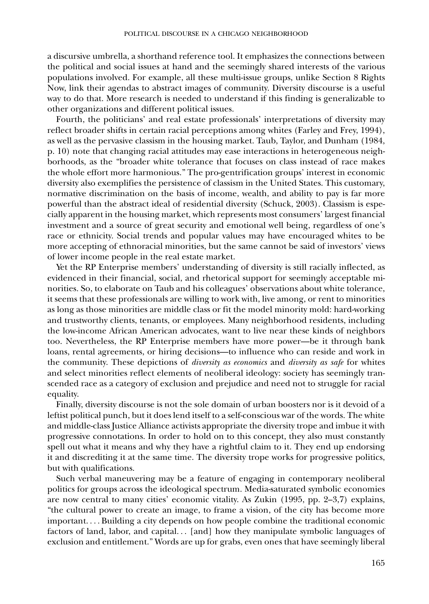a discursive umbrella, a shorthand reference tool. It emphasizes the connections between the political and social issues at hand and the seemingly shared interests of the various populations involved. For example, all these multi-issue groups, unlike Section 8 Rights Now, link their agendas to abstract images of community. Diversity discourse is a useful way to do that. More research is needed to understand if this finding is generalizable to other organizations and different political issues.

Fourth, the politicians' and real estate professionals' interpretations of diversity may reflect broader shifts in certain racial perceptions among whites (Farley and Frey, 1994), as well as the pervasive classism in the housing market. Taub, Taylor, and Dunham (1984, p. 10) note that changing racial attitudes may ease interactions in heterogeneous neighborhoods, as the "broader white tolerance that focuses on class instead of race makes the whole effort more harmonious." The pro-gentrification groups' interest in economic diversity also exemplifies the persistence of classism in the United States. This customary, normative discrimination on the basis of income, wealth, and ability to pay is far more powerful than the abstract ideal of residential diversity (Schuck, 2003). Classism is especially apparent in the housing market, which represents most consumers' largest financial investment and a source of great security and emotional well being, regardless of one's race or ethnicity. Social trends and popular values may have encouraged whites to be more accepting of ethnoracial minorities, but the same cannot be said of investors' views of lower income people in the real estate market.

Yet the RP Enterprise members' understanding of diversity is still racially inflected, as evidenced in their financial, social, and rhetorical support for seemingly acceptable minorities. So, to elaborate on Taub and his colleagues' observations about white tolerance, it seems that these professionals are willing to work with, live among, or rent to minorities as long as those minorities are middle class or fit the model minority mold: hard-working and trustworthy clients, tenants, or employees. Many neighborhood residents, including the low-income African American advocates, want to live near these kinds of neighbors too. Nevertheless, the RP Enterprise members have more power—be it through bank loans, rental agreements, or hiring decisions—to influence who can reside and work in the community. These depictions of *diversity as economics* and *diversity as safe* for whites and select minorities reflect elements of neoliberal ideology: society has seemingly transcended race as a category of exclusion and prejudice and need not to struggle for racial equality.

Finally, diversity discourse is not the sole domain of urban boosters nor is it devoid of a leftist political punch, but it does lend itself to a self-conscious war of the words. The white and middle-class Justice Alliance activists appropriate the diversity trope and imbue it with progressive connotations. In order to hold on to this concept, they also must constantly spell out what it means and why they have a rightful claim to it. They end up endorsing it and discrediting it at the same time. The diversity trope works for progressive politics, but with qualifications.

Such verbal maneuvering may be a feature of engaging in contemporary neoliberal politics for groups across the ideological spectrum. Media-saturated symbolic economies are now central to many cities' economic vitality. As Zukin (1995, pp. 2–3,7) explains, "the cultural power to create an image, to frame a vision, of the city has become more important. ... Building a city depends on how people combine the traditional economic factors of land, labor, and capital... [and] how they manipulate symbolic languages of exclusion and entitlement." Words are up for grabs, even ones that have seemingly liberal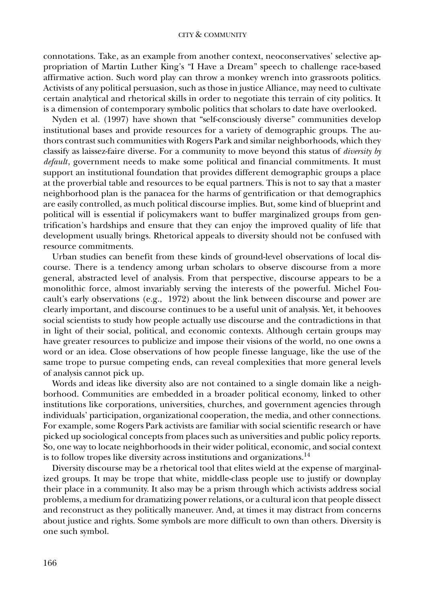## CITY & COMMUNITY

connotations. Take, as an example from another context, neoconservatives' selective appropriation of Martin Luther King's "I Have a Dream" speech to challenge race-based affirmative action. Such word play can throw a monkey wrench into grassroots politics. Activists of any political persuasion, such as those in justice Alliance, may need to cultivate certain analytical and rhetorical skills in order to negotiate this terrain of city politics. It is a dimension of contemporary symbolic politics that scholars to date have overlooked.

Nyden et al. (1997) have shown that "self-consciously diverse" communities develop institutional bases and provide resources for a variety of demographic groups. The authors contrast such communities with Rogers Park and similar neighborhoods, which they classify as laissez-faire diverse. For a community to move beyond this status of *diversity by default*, government needs to make some political and financial commitments. It must support an institutional foundation that provides different demographic groups a place at the proverbial table and resources to be equal partners. This is not to say that a master neighborhood plan is the panacea for the harms of gentrification or that demographics are easily controlled, as much political discourse implies. But, some kind of blueprint and political will is essential if policymakers want to buffer marginalized groups from gentrification's hardships and ensure that they can enjoy the improved quality of life that development usually brings. Rhetorical appeals to diversity should not be confused with resource commitments.

Urban studies can benefit from these kinds of ground-level observations of local discourse. There is a tendency among urban scholars to observe discourse from a more general, abstracted level of analysis. From that perspective, discourse appears to be a monolithic force, almost invariably serving the interests of the powerful. Michel Foucault's early observations (e.g., 1972) about the link between discourse and power are clearly important, and discourse continues to be a useful unit of analysis. Yet, it behooves social scientists to study how people actually use discourse and the contradictions in that in light of their social, political, and economic contexts. Although certain groups may have greater resources to publicize and impose their visions of the world, no one owns a word or an idea. Close observations of how people finesse language, like the use of the same trope to pursue competing ends, can reveal complexities that more general levels of analysis cannot pick up.

Words and ideas like diversity also are not contained to a single domain like a neighborhood. Communities are embedded in a broader political economy, linked to other institutions like corporations, universities, churches, and government agencies through individuals' participation, organizational cooperation, the media, and other connections. For example, some Rogers Park activists are familiar with social scientific research or have picked up sociological concepts from places such as universities and public policy reports. So, one way to locate neighborhoods in their wider political, economic, and social context is to follow tropes like diversity across institutions and organizations.<sup>14</sup>

Diversity discourse may be a rhetorical tool that elites wield at the expense of marginalized groups. It may be trope that white, middle-class people use to justify or downplay their place in a community. It also may be a prism through which activists address social problems, a medium for dramatizing power relations, or a cultural icon that people dissect and reconstruct as they politically maneuver. And, at times it may distract from concerns about justice and rights. Some symbols are more difficult to own than others. Diversity is one such symbol.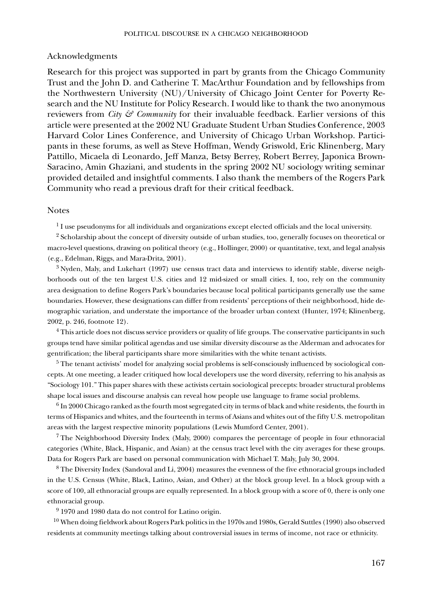# Acknowledgments

Research for this project was supported in part by grants from the Chicago Community Trust and the John D. and Catherine T. MacArthur Foundation and by fellowships from the Northwestern University (NU)/University of Chicago Joint Center for Poverty Research and the NU Institute for Policy Research. I would like to thank the two anonymous reviewers from *City & Community* for their invaluable feedback. Earlier versions of this article were presented at the 2002 NU Graduate Student Urban Studies Conference, 2003 Harvard Color Lines Conference, and University of Chicago Urban Workshop. Participants in these forums, as well as Steve Hoffman, Wendy Griswold, Eric Klinenberg, Mary Pattillo, Micaela di Leonardo, Jeff Manza, Betsy Berrey, Robert Berrey, Japonica Brown-Saracino, Amin Ghaziani, and students in the spring 2002 NU sociology writing seminar provided detailed and insightful comments. I also thank the members of the Rogers Park Community who read a previous draft for their critical feedback.

## Notes

<sup>1</sup> I use pseudonyms for all individuals and organizations except elected officials and the local university.

<sup>2</sup> Scholarship about the concept of diversity outside of urban studies, too, generally focuses on theoretical or macro-level questions, drawing on political theory (e.g., Hollinger, 2000) or quantitative, text, and legal analysis (e.g., Edelman, Riggs, and Mara-Drita, 2001).

 $3$  Nyden, Maly, and Lukehart (1997) use census tract data and interviews to identify stable, diverse neighborhoods out of the ten largest U.S. cities and 12 mid-sized or small cities. I, too, rely on the community area designation to define Rogers Park's boundaries because local political participants generally use the same boundaries. However, these designations can differ from residents' perceptions of their neighborhood, hide demographic variation, and understate the importance of the broader urban context (Hunter, 1974; Klinenberg, 2002, p. 246, footnote 12).

<sup>4</sup> This article does not discuss service providers or quality of life groups. The conservative participants in such groups tend have similar political agendas and use similar diversity discourse as the Alderman and advocates for gentrification; the liberal participants share more similarities with the white tenant activists.

<sup>5</sup> The tenant activists' model for analyzing social problems is self-consciously influenced by sociological concepts. At one meeting, a leader critiqued how local developers use the word diversity, referring to his analysis as "Sociology 101." This paper shares with these activists certain sociological precepts: broader structural problems shape local issues and discourse analysis can reveal how people use language to frame social problems.

 $6$  In 2000 Chicago ranked as the fourth most segregated city in terms of black and white residents, the fourth in terms of Hispanics and whites, and the fourteenth in terms of Asians and whites out of the fifty U.S. metropolitan areas with the largest respective minority populations (Lewis Mumford Center, 2001).

<sup>7</sup> The Neighborhood Diversity Index (Maly, 2000) compares the percentage of people in four ethnoracial categories (White, Black, Hispanic, and Asian) at the census tract level with the city averages for these groups. Data for Rogers Park are based on personal communication with Michael T. Maly, July 30, 2004.

<sup>8</sup> The Diversity Index (Sandoval and Li, 2004) measures the evenness of the five ethnoracial groups included in the U.S. Census (White, Black, Latino, Asian, and Other) at the block group level. In a block group with a score of 100, all ethnoracial groups are equally represented. In a block group with a score of 0, there is only one ethnoracial group.

<sup>9</sup> 1970 and 1980 data do not control for Latino origin.

<sup>10</sup> When doing fieldwork about Rogers Park politics in the 1970s and 1980s, Gerald Suttles (1990) also observed residents at community meetings talking about controversial issues in terms of income, not race or ethnicity.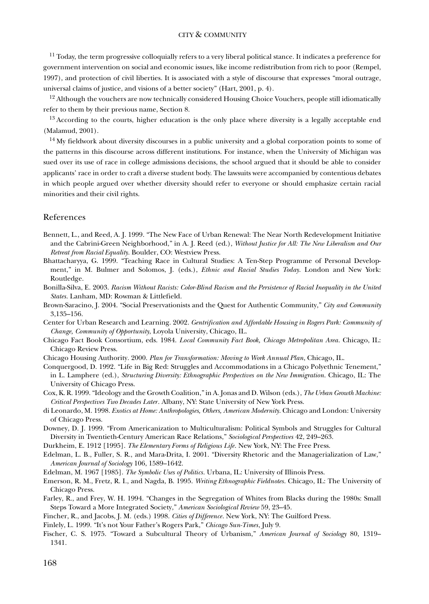## CITY & COMMUNITY

<sup>11</sup> Today, the term progressive colloquially refers to a very liberal political stance. It indicates a preference for government intervention on social and economic issues, like income redistribution from rich to poor (Rempel, 1997), and protection of civil liberties. It is associated with a style of discourse that expresses "moral outrage, universal claims of justice, and visions of a better society" (Hart, 2001, p. 4).

 $12$  Although the vouchers are now technically considered Housing Choice Vouchers, people still idiomatically refer to them by their previous name, Section 8.

<sup>13</sup> According to the courts, higher education is the only place where diversity is a legally acceptable end (Malamud, 2001).

<sup>14</sup> My fieldwork about diversity discourses in a public university and a global corporation points to some of the patterns in this discourse across different institutions. For instance, when the University of Michigan was sued over its use of race in college admissions decisions, the school argued that it should be able to consider applicants' race in order to craft a diverse student body. The lawsuits were accompanied by contentious debates in which people argued over whether diversity should refer to everyone or should emphasize certain racial minorities and their civil rights.

## References

- Bennett, L., and Reed, A. J. 1999. "The New Face of Urban Renewal: The Near North Redevelopment Initiative and the Cabrini-Green Neighborhood," in A. J. Reed (ed.), *Without Justice for All: The New Liberalism and Our Retreat from Racial Equality*. Boulder, CO: Westview Press.
- Bhattacharyya, G. 1999. "Teaching Race in Cultural Studies: A Ten-Step Programme of Personal Development," in M. Bulmer and Solomos, J. (eds.), *Ethnic and Racial Studies Today*. London and New York: Routledge.
- Bonilla-Silva, E. 2003. *Racism Without Racists: Color-Blind Racism and the Persistence of Racial Inequality in the United States*. Lanham, MD: Rowman & Littlefield.
- Brown-Saracino, J. 2004. "Social Preservationists and the Quest for Authentic Community," *City and Community* 3,135–156.
- Center for Urban Research and Learning. 2002. *Gentrification and Affordable Housing in Rogers Park: Community of Change, Community of Opportunity*, Loyola University, Chicago, IL.
- Chicago Fact Book Consortium, eds. 1984. *Local Community Fact Book, Chicago Metropolitan Area*. Chicago, IL: Chicago Review Press.
- Chicago Housing Authority. 2000. *Plan for Transformation: Moving to Work Annual Plan*, Chicago, IL.

Conquergood, D. 1992. "Life in Big Red: Struggles and Accommodations in a Chicago Polyethnic Tenement," in L. Lamphere (ed.), *Structuring Diversity: Ethnographic Perspectives on the New Immigration*. Chicago, IL: The University of Chicago Press.

- Cox, K. R. 1999. "Ideology and the Growth Coalition," in A. Jonas and D. Wilson (eds.), *The Urban Growth Machine: Critical Perspectives Two Decades Later*. Albany, NY: State University of New York Press.
- di Leonardo, M. 1998. *Exotics at Home: Anthropologies, Others, American Modernity*. Chicago and London: University of Chicago Press.
- Downey, D. J. 1999. "From Americanization to Multiculturalism: Political Symbols and Struggles for Cultural Diversity in Twentieth-Century American Race Relations," *Sociological Perspectives* 42, 249–263.
- Durkheim, E. 1912 [1995]. *The Elementary Forms of Religious Life*. New York, NY: The Free Press.
- Edelman, L. B., Fuller, S. R., and Mara-Drita, I. 2001. "Diversity Rhetoric and the Managerialization of Law," *American Journal of Sociology* 106, 1589–1642.
- Edelman, M. 1967 [1985]. *The Symbolic Uses of Politics*. Urbana, IL: University of Illinois Press.
- Emerson, R. M., Fretz, R. I., and Nagda, B. 1995. *Writing Ethnographic Fieldnotes*. Chicago, IL: The University of Chicago Press.
- Farley, R., and Frey, W. H. 1994. "Changes in the Segregation of Whites from Blacks during the 1980s: Small Steps Toward a More Integrated Society," *American Sociological Review* 59, 23–45.
- Fincher, R., and Jacobs, J. M. (eds.) 1998. *Cities of Difference*. New York, NY: The Guilford Press.
- Finlely, L. 1999. "It's not Your Father's Rogers Park," *Chicago Sun-Times*, July 9.
- Fischer, C. S. 1975. "Toward a Subcultural Theory of Urbanism," *American Journal of Sociology* 80, 1319– 1341.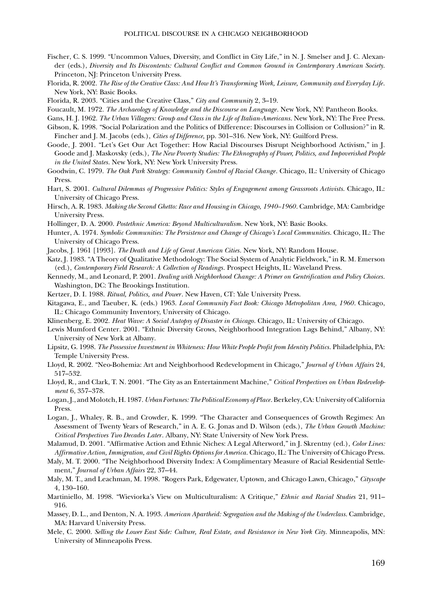- Fischer, C. S. 1999. "Uncommon Values, Diversity, and Conflict in City Life," in N. J. Smelser and J. C. Alexander (eds.), *Diversity and Its Discontents: Cultural Conflict and Common Ground in Contemporary American Society*. Princeton, NJ: Princeton University Press.
- Florida, R. 2002. *The Rise of the Creative Class: And How It's Transforming Work, Leisure, Community and Everyday Life*. New York, NY: Basic Books.
- Florida, R. 2003. "Cities and the Creative Class," *City and Community* 2, 3–19.
- Foucault, M. 1972. *The Archaeology of Knowledge and the Discourse on Language*. New York, NY: Pantheon Books.
- Gans, H. J. 1962. *The Urban Villagers: Group and Class in the Life of Italian-Americans*. New York, NY: The Free Press.
- Gibson, K. 1998. "Social Polarization and the Politics of Difference: Discourses in Collision or Collusion?" in R. Fincher and J. M. Jacobs (eds.), *Cities of Difference,* pp. 301–316. New York, NY: Guilford Press.
- Goode, J. 2001. "Let's Get Our Act Together: How Racial Discourses Disrupt Neighborhood Activism," in J. Goode and J. Maskovsky (eds.), *The New Poverty Studies: The Ethnography of Power, Politics, and Impoverished People in the United States*. New York, NY: New York University Press.
- Goodwin, C. 1979. *The Oak Park Strategy: Community Control of Racial Change*. Chicago, IL: University of Chicago Press.
- Hart, S. 2001. *Cultural Dilemmas of Progressive Politics: Styles of Engagement among Grassroots Activists*. Chicago, IL: University of Chicago Press.
- Hirsch, A. R. 1983. *Making the Second Ghetto: Race and Housing in Chicago, 1940–1960*. Cambridge, MA: Cambridge University Press.
- Hollinger, D. A. 2000. *Postethnic America: Beyond Multiculturalism*. New York, NY: Basic Books.
- Hunter, A. 1974. *Symbolic Communities: The Persistence and Change of Chicago's Local Communities*. Chicago, IL: The University of Chicago Press.
- Jacobs, J. 1961 [1993]. *The Death and Life of Great American Cities*. New York, NY: Random House.
- Katz, J. 1983. "A Theory of Qualitative Methodology: The Social System of Analytic Fieldwork," in R. M. Emerson (ed.), *Contemporary Field Research: A Collection of Readings*. Prospect Heights, IL: Waveland Press.
- Kennedy, M., and Leonard, P. 2001. *Dealing with Neighborhood Change: A Primer on Gentrification and Policy Choices*. Washington, DC: The Brookings Institution.
- Kertzer, D. I. 1988. *Ritual, Politics, and Power*. New Haven, CT: Yale University Press.
- Kitagawa, E., and Taeuber, K. (eds.) 1963. *Local Community Fact Book: Chicago Metropolitan Area, 1960*. Chicago, IL: Chicago Community Inventory, University of Chicago.
- Klinenberg, E. 2002. *Heat Wave: A Social Autopsy of Disaster in Chicago*. Chicago, IL: University of Chicago.
- Lewis Mumford Center. 2001. "Ethnic Diversity Grows, Neighborhood Integration Lags Behind," Albany, NY: University of New York at Albany.
- Lipsitz, G. 1998. *The Possessive Investment in Whiteness: How White People Profit from Identity Politics*. Philadelphia, PA: Temple University Press.
- Lloyd, R. 2002. "Neo-Bohemia: Art and Neighborhood Redevelopment in Chicago," *Journal of Urban Affairs* 24, 517–532.
- Lloyd, R., and Clark, T. N. 2001. "The City as an Entertainment Machine," *Critical Perspectives on Urban Redevelopment* 6, 357–378.
- Logan, J., and Molotch, H. 1987.*Urban Fortunes: The Political Economy of Place*.Berkeley, CA: University of California Press.
- Logan, J., Whaley, R. B., and Crowder, K. 1999. "The Character and Consequences of Growth Regimes: An Assessment of Twenty Years of Research," in A. E. G. Jonas and D. Wilson (eds.), *The Urban Growth Machine: Critical Perspectives Two Decades Later*. Albany, NY: State University of New York Press.
- Malamud, D. 2001. "Affirmative Action and Ethnic Niches: A Legal Afterword," in J. Skrentny (ed.), *Color Lines: Affirmative Action, Immigration, and Civil Rights Options for America*. Chicago, IL: The University of Chicago Press.
- Maly, M. T. 2000. "The Neighborhood Diversity Index: A Complimentary Measure of Racial Residential Settlement," *Journal of Urban Affairs* 22, 37–44.
- Maly, M. T., and Leachman, M. 1998. "Rogers Park, Edgewater, Uptown, and Chicago Lawn, Chicago," *Cityscape* 4, 130–160.
- Martiniello, M. 1998. "Wieviorka's View on Multiculturalism: A Critique," *Ethnic and Racial Studies* 21, 911– 916.
- Massey, D. L., and Denton, N. A. 1993. *American Apartheid: Segregation and the Making of the Underclass*. Cambridge, MA: Harvard University Press.
- Mele, C. 2000. *Selling the Lower East Side: Culture, Real Estate, and Resistance in New York City*. Minneapolis, MN: University of Minneapolis Press.